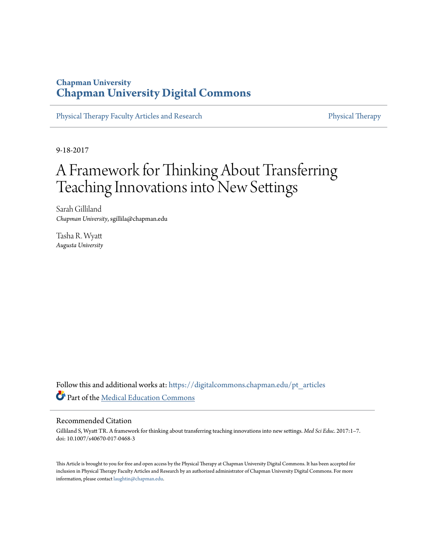## **Chapman University [Chapman University Digital Commons](https://digitalcommons.chapman.edu?utm_source=digitalcommons.chapman.edu%2Fpt_articles%2F61&utm_medium=PDF&utm_campaign=PDFCoverPages)**

[Physical Therapy Faculty Articles and Research](https://digitalcommons.chapman.edu/pt_articles?utm_source=digitalcommons.chapman.edu%2Fpt_articles%2F61&utm_medium=PDF&utm_campaign=PDFCoverPages) [Physical Therapy](https://digitalcommons.chapman.edu/physicaltherapy?utm_source=digitalcommons.chapman.edu%2Fpt_articles%2F61&utm_medium=PDF&utm_campaign=PDFCoverPages)

9-18-2017

# A Framework for Thinking About Transferring Teaching Innovations into New Settings

Sarah Gilliland *Chapman University*, sgillila@chapman.edu

Tasha R. Wyatt *Augusta University*

Follow this and additional works at: [https://digitalcommons.chapman.edu/pt\\_articles](https://digitalcommons.chapman.edu/pt_articles?utm_source=digitalcommons.chapman.edu%2Fpt_articles%2F61&utm_medium=PDF&utm_campaign=PDFCoverPages) Part of the [Medical Education Commons](http://network.bepress.com/hgg/discipline/1125?utm_source=digitalcommons.chapman.edu%2Fpt_articles%2F61&utm_medium=PDF&utm_campaign=PDFCoverPages)

#### Recommended Citation

Gilliland S, Wyatt TR. A framework for thinking about transferring teaching innovations into new settings. *Med Sci Educ*. 2017:1–7. doi: 10.1007/s40670-017-0468-3

This Article is brought to you for free and open access by the Physical Therapy at Chapman University Digital Commons. It has been accepted for inclusion in Physical Therapy Faculty Articles and Research by an authorized administrator of Chapman University Digital Commons. For more information, please contact [laughtin@chapman.edu](mailto:laughtin@chapman.edu).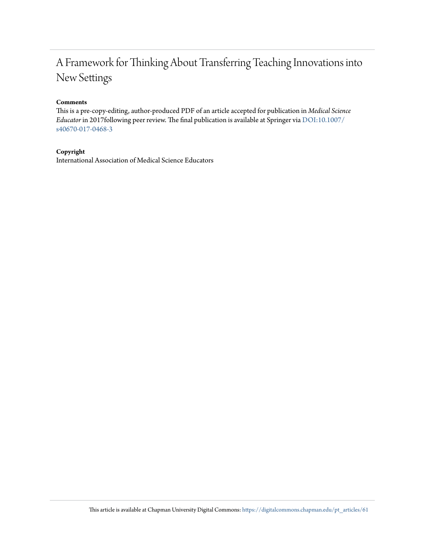## A Framework for Thinking About Transferring Teaching Innovations into New Settings

#### **Comments**

This is a pre-copy-editing, author-produced PDF of an article accepted for publication in *Medical Science Educator* in 2017following peer review. The final publication is available at Springer via [DOI:10.1007/](http://dx.doi.org/10.1007/s40670-017-0468-3) [s40670-017-0468-3](http://dx.doi.org/10.1007/s40670-017-0468-3)

#### **Copyright**

International Association of Medical Science Educators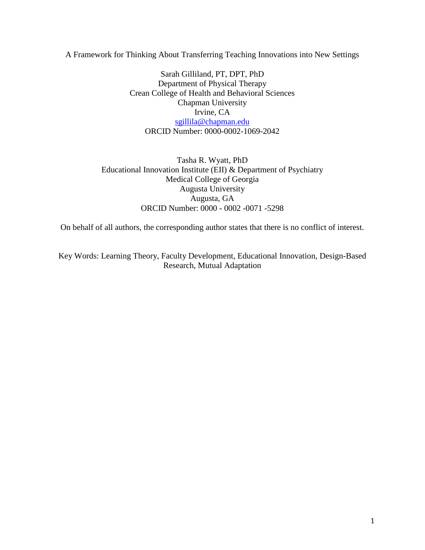A Framework for Thinking About Transferring Teaching Innovations into New Settings

Sarah Gilliland, PT, DPT, PhD Department of Physical Therapy Crean College of Health and Behavioral Sciences Chapman University Irvine, CA [sgillila@chapman.edu](mailto:sgillila@chapman.edu) ORCID Number: 0000-0002-1069-2042

Tasha R. Wyatt, PhD Educational Innovation Institute (EII) & Department of Psychiatry Medical College of Georgia Augusta University Augusta, GA ORCID Number: 0000 - 0002 -0071 -5298

On behalf of all authors, the corresponding author states that there is no conflict of interest.

Key Words: Learning Theory, Faculty Development, Educational Innovation, Design-Based Research, Mutual Adaptation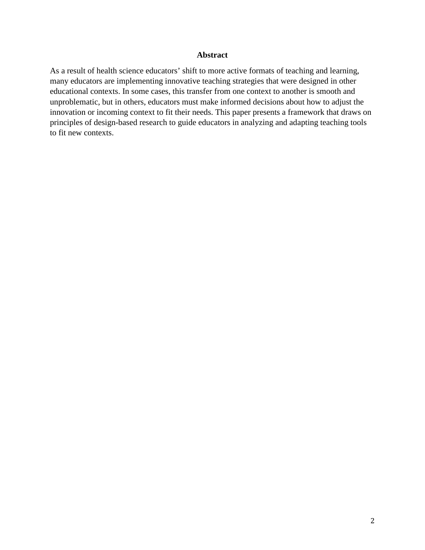#### **Abstract**

As a result of health science educators' shift to more active formats of teaching and learning, many educators are implementing innovative teaching strategies that were designed in other educational contexts. In some cases, this transfer from one context to another is smooth and unproblematic, but in others, educators must make informed decisions about how to adjust the innovation or incoming context to fit their needs. This paper presents a framework that draws on principles of design-based research to guide educators in analyzing and adapting teaching tools to fit new contexts.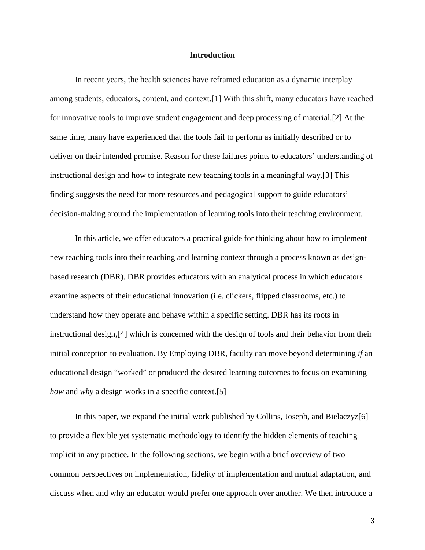#### **Introduction**

In recent years, the health sciences have reframed education as a dynamic interplay among students, educators, content, and context.[1] With this shift, many educators have reached for innovative tools to improve student engagement and deep processing of material.[2] At the same time, many have experienced that the tools fail to perform as initially described or to deliver on their intended promise. Reason for these failures points to educators' understanding of instructional design and how to integrate new teaching tools in a meaningful way.[3] This finding suggests the need for more resources and pedagogical support to guide educators' decision-making around the implementation of learning tools into their teaching environment.

In this article, we offer educators a practical guide for thinking about how to implement new teaching tools into their teaching and learning context through a process known as designbased research (DBR). DBR provides educators with an analytical process in which educators examine aspects of their educational innovation (i.e. clickers, flipped classrooms, etc.) to understand how they operate and behave within a specific setting. DBR has its roots in instructional design,[4] which is concerned with the design of tools and their behavior from their initial conception to evaluation. By Employing DBR, faculty can move beyond determining *if* an educational design "worked" or produced the desired learning outcomes to focus on examining *how* and *why* a design works in a specific context.[5]

In this paper, we expand the initial work published by Collins, Joseph, and Bielaczyz[6] to provide a flexible yet systematic methodology to identify the hidden elements of teaching implicit in any practice. In the following sections, we begin with a brief overview of two common perspectives on implementation, fidelity of implementation and mutual adaptation, and discuss when and why an educator would prefer one approach over another. We then introduce a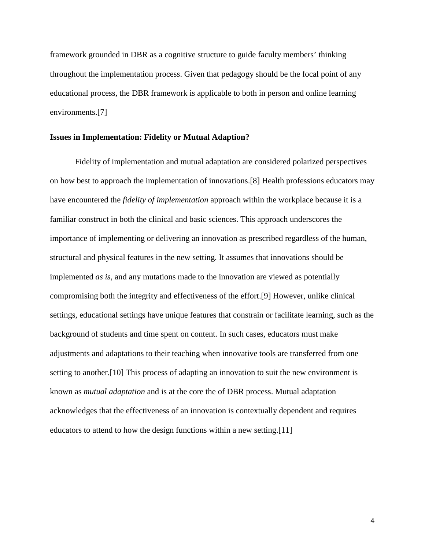framework grounded in DBR as a cognitive structure to guide faculty members' thinking throughout the implementation process. Given that pedagogy should be the focal point of any educational process, the DBR framework is applicable to both in person and online learning environments.[7]

#### **Issues in Implementation: Fidelity or Mutual Adaption?**

Fidelity of implementation and mutual adaptation are considered polarized perspectives on how best to approach the implementation of innovations.[8] Health professions educators may have encountered the *fidelity of implementation* approach within the workplace because it is a familiar construct in both the clinical and basic sciences. This approach underscores the importance of implementing or delivering an innovation as prescribed regardless of the human, structural and physical features in the new setting. It assumes that innovations should be implemented *as is*, and any mutations made to the innovation are viewed as potentially compromising both the integrity and effectiveness of the effort.[9] However, unlike clinical settings, educational settings have unique features that constrain or facilitate learning, such as the background of students and time spent on content. In such cases, educators must make adjustments and adaptations to their teaching when innovative tools are transferred from one setting to another.[10] This process of adapting an innovation to suit the new environment is known as *mutual adaptation* and is at the core the of DBR process. Mutual adaptation acknowledges that the effectiveness of an innovation is contextually dependent and requires educators to attend to how the design functions within a new setting.[11]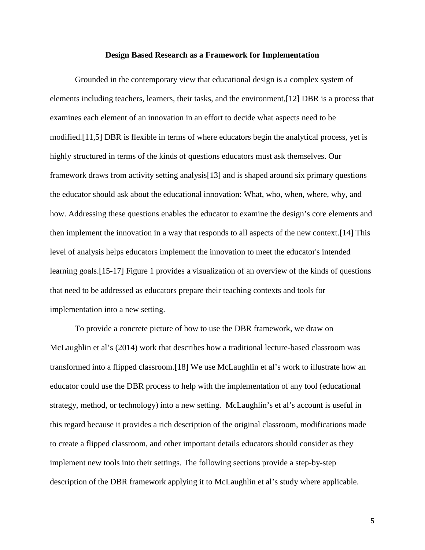#### **Design Based Research as a Framework for Implementation**

Grounded in the contemporary view that educational design is a complex system of elements including teachers, learners, their tasks, and the environment,[12] DBR is a process that examines each element of an innovation in an effort to decide what aspects need to be modified.[11,5] DBR is flexible in terms of where educators begin the analytical process, yet is highly structured in terms of the kinds of questions educators must ask themselves. Our framework draws from activity setting analysis[13] and is shaped around six primary questions the educator should ask about the educational innovation: What, who, when, where, why, and how. Addressing these questions enables the educator to examine the design's core elements and then implement the innovation in a way that responds to all aspects of the new context.[14] This level of analysis helps educators implement the innovation to meet the educator's intended learning goals.[15-17] Figure 1 provides a visualization of an overview of the kinds of questions that need to be addressed as educators prepare their teaching contexts and tools for implementation into a new setting.

To provide a concrete picture of how to use the DBR framework, we draw on McLaughlin et al's (2014) work that describes how a traditional lecture-based classroom was transformed into a flipped classroom.[18] We use McLaughlin et al's work to illustrate how an educator could use the DBR process to help with the implementation of any tool (educational strategy, method, or technology) into a new setting. McLaughlin's et al's account is useful in this regard because it provides a rich description of the original classroom, modifications made to create a flipped classroom, and other important details educators should consider as they implement new tools into their settings. The following sections provide a step-by-step description of the DBR framework applying it to McLaughlin et al's study where applicable.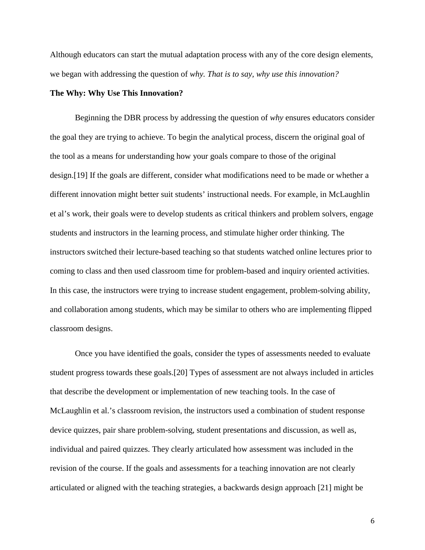Although educators can start the mutual adaptation process with any of the core design elements, we began with addressing the question of *why. That is to say, why use this innovation?*

#### **The Why: Why Use This Innovation?**

Beginning the DBR process by addressing the question of *why* ensures educators consider the goal they are trying to achieve. To begin the analytical process, discern the original goal of the tool as a means for understanding how your goals compare to those of the original design.[19] If the goals are different, consider what modifications need to be made or whether a different innovation might better suit students' instructional needs. For example, in McLaughlin et al's work, their goals were to develop students as critical thinkers and problem solvers, engage students and instructors in the learning process, and stimulate higher order thinking. The instructors switched their lecture-based teaching so that students watched online lectures prior to coming to class and then used classroom time for problem-based and inquiry oriented activities. In this case, the instructors were trying to increase student engagement, problem-solving ability, and collaboration among students, which may be similar to others who are implementing flipped classroom designs.

Once you have identified the goals, consider the types of assessments needed to evaluate student progress towards these goals.[20] Types of assessment are not always included in articles that describe the development or implementation of new teaching tools. In the case of McLaughlin et al.'s classroom revision, the instructors used a combination of student response device quizzes, pair share problem-solving, student presentations and discussion, as well as, individual and paired quizzes. They clearly articulated how assessment was included in the revision of the course. If the goals and assessments for a teaching innovation are not clearly articulated or aligned with the teaching strategies, a backwards design approach [21] might be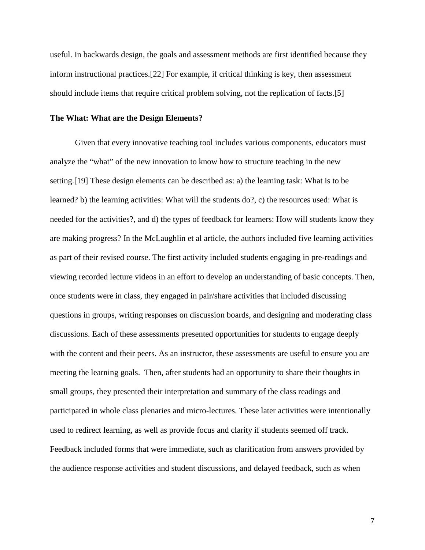useful. In backwards design, the goals and assessment methods are first identified because they inform instructional practices.[22] For example, if critical thinking is key, then assessment should include items that require critical problem solving, not the replication of facts.[5]

#### **The What: What are the Design Elements?**

Given that every innovative teaching tool includes various components, educators must analyze the "what" of the new innovation to know how to structure teaching in the new setting.[19] These design elements can be described as: a) the learning task: What is to be learned? b) the learning activities: What will the students do?, c) the resources used: What is needed for the activities?, and d) the types of feedback for learners: How will students know they are making progress? In the McLaughlin et al article, the authors included five learning activities as part of their revised course. The first activity included students engaging in pre-readings and viewing recorded lecture videos in an effort to develop an understanding of basic concepts. Then, once students were in class, they engaged in pair/share activities that included discussing questions in groups, writing responses on discussion boards, and designing and moderating class discussions. Each of these assessments presented opportunities for students to engage deeply with the content and their peers. As an instructor, these assessments are useful to ensure you are meeting the learning goals. Then, after students had an opportunity to share their thoughts in small groups, they presented their interpretation and summary of the class readings and participated in whole class plenaries and micro-lectures. These later activities were intentionally used to redirect learning, as well as provide focus and clarity if students seemed off track. Feedback included forms that were immediate, such as clarification from answers provided by the audience response activities and student discussions, and delayed feedback, such as when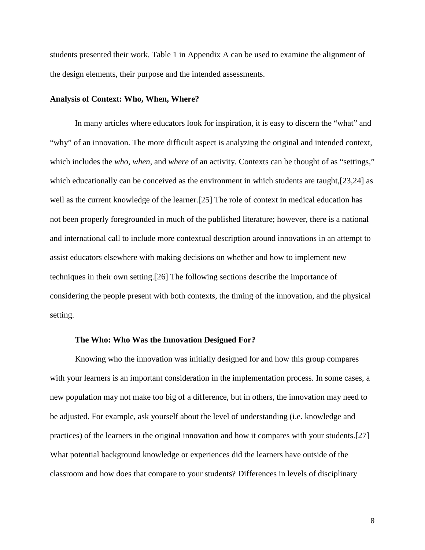students presented their work. Table 1 in Appendix A can be used to examine the alignment of the design elements, their purpose and the intended assessments.

#### **Analysis of Context: Who, When, Where?**

In many articles where educators look for inspiration, it is easy to discern the "what" and "why" of an innovation. The more difficult aspect is analyzing the original and intended context, which includes the *who*, *when*, and *where* of an activity. Contexts can be thought of as "settings," which educationally can be conceived as the environment in which students are taught, [23,24] as well as the current knowledge of the learner.[25] The role of context in medical education has not been properly foregrounded in much of the published literature; however, there is a national and international call to include more contextual description around innovations in an attempt to assist educators elsewhere with making decisions on whether and how to implement new techniques in their own setting.[26] The following sections describe the importance of considering the people present with both contexts, the timing of the innovation, and the physical setting.

#### **The Who: Who Was the Innovation Designed For?**

Knowing who the innovation was initially designed for and how this group compares with your learners is an important consideration in the implementation process. In some cases, a new population may not make too big of a difference, but in others, the innovation may need to be adjusted. For example, ask yourself about the level of understanding (i.e. knowledge and practices) of the learners in the original innovation and how it compares with your students.[27] What potential background knowledge or experiences did the learners have outside of the classroom and how does that compare to your students? Differences in levels of disciplinary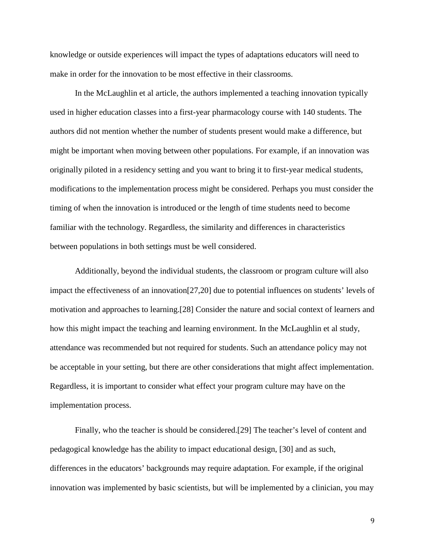knowledge or outside experiences will impact the types of adaptations educators will need to make in order for the innovation to be most effective in their classrooms.

In the McLaughlin et al article, the authors implemented a teaching innovation typically used in higher education classes into a first-year pharmacology course with 140 students. The authors did not mention whether the number of students present would make a difference, but might be important when moving between other populations. For example, if an innovation was originally piloted in a residency setting and you want to bring it to first-year medical students, modifications to the implementation process might be considered. Perhaps you must consider the timing of when the innovation is introduced or the length of time students need to become familiar with the technology. Regardless, the similarity and differences in characteristics between populations in both settings must be well considered.

Additionally, beyond the individual students, the classroom or program culture will also impact the effectiveness of an innovation[27,20] due to potential influences on students' levels of motivation and approaches to learning.[28] Consider the nature and social context of learners and how this might impact the teaching and learning environment. In the McLaughlin et al study, attendance was recommended but not required for students. Such an attendance policy may not be acceptable in your setting, but there are other considerations that might affect implementation. Regardless, it is important to consider what effect your program culture may have on the implementation process.

Finally, who the teacher is should be considered.[29] The teacher's level of content and pedagogical knowledge has the ability to impact educational design, [30] and as such, differences in the educators' backgrounds may require adaptation. For example, if the original innovation was implemented by basic scientists, but will be implemented by a clinician, you may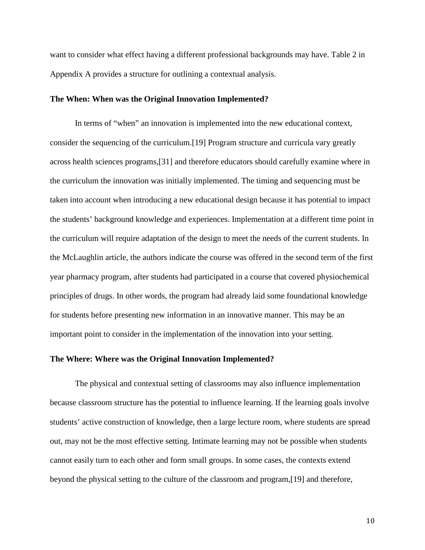want to consider what effect having a different professional backgrounds may have. Table 2 in Appendix A provides a structure for outlining a contextual analysis.

#### **The When: When was the Original Innovation Implemented?**

In terms of "when" an innovation is implemented into the new educational context, consider the sequencing of the curriculum.[19] Program structure and curricula vary greatly across health sciences programs,[31] and therefore educators should carefully examine where in the curriculum the innovation was initially implemented. The timing and sequencing must be taken into account when introducing a new educational design because it has potential to impact the students' background knowledge and experiences. Implementation at a different time point in the curriculum will require adaptation of the design to meet the needs of the current students. In the McLaughlin article, the authors indicate the course was offered in the second term of the first year pharmacy program, after students had participated in a course that covered physiochemical principles of drugs. In other words, the program had already laid some foundational knowledge for students before presenting new information in an innovative manner. This may be an important point to consider in the implementation of the innovation into your setting.

#### **The Where: Where was the Original Innovation Implemented?**

The physical and contextual setting of classrooms may also influence implementation because classroom structure has the potential to influence learning. If the learning goals involve students' active construction of knowledge, then a large lecture room, where students are spread out, may not be the most effective setting. Intimate learning may not be possible when students cannot easily turn to each other and form small groups. In some cases, the contexts extend beyond the physical setting to the culture of the classroom and program,[19] and therefore,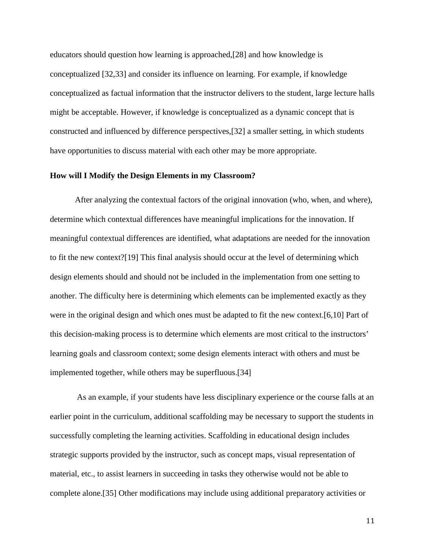educators should question how learning is approached,[28] and how knowledge is conceptualized [32,33] and consider its influence on learning. For example, if knowledge conceptualized as factual information that the instructor delivers to the student, large lecture halls might be acceptable. However, if knowledge is conceptualized as a dynamic concept that is constructed and influenced by difference perspectives,[32] a smaller setting, in which students have opportunities to discuss material with each other may be more appropriate.

#### **How will I Modify the Design Elements in my Classroom?**

After analyzing the contextual factors of the original innovation (who, when, and where), determine which contextual differences have meaningful implications for the innovation. If meaningful contextual differences are identified, what adaptations are needed for the innovation to fit the new context?[19] This final analysis should occur at the level of determining which design elements should and should not be included in the implementation from one setting to another. The difficulty here is determining which elements can be implemented exactly as they were in the original design and which ones must be adapted to fit the new context.[6,10] Part of this decision-making process is to determine which elements are most critical to the instructors' learning goals and classroom context; some design elements interact with others and must be implemented together, while others may be superfluous.[34]

As an example, if your students have less disciplinary experience or the course falls at an earlier point in the curriculum, additional scaffolding may be necessary to support the students in successfully completing the learning activities. Scaffolding in educational design includes strategic supports provided by the instructor, such as concept maps, visual representation of material, etc., to assist learners in succeeding in tasks they otherwise would not be able to complete alone.[35] Other modifications may include using additional preparatory activities or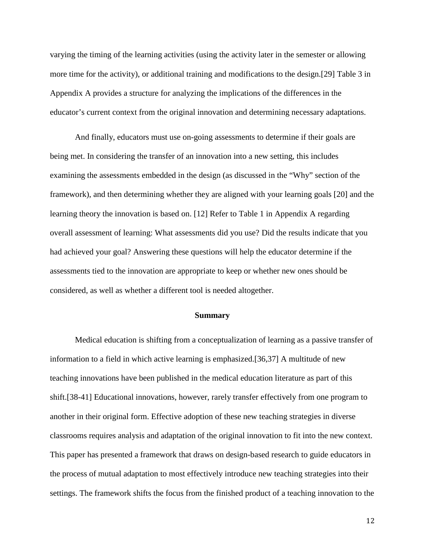varying the timing of the learning activities (using the activity later in the semester or allowing more time for the activity), or additional training and modifications to the design.[29] Table 3 in Appendix A provides a structure for analyzing the implications of the differences in the educator's current context from the original innovation and determining necessary adaptations.

And finally, educators must use on-going assessments to determine if their goals are being met. In considering the transfer of an innovation into a new setting, this includes examining the assessments embedded in the design (as discussed in the "Why" section of the framework), and then determining whether they are aligned with your learning goals [20] and the learning theory the innovation is based on. [12] Refer to Table 1 in Appendix A regarding overall assessment of learning: What assessments did you use? Did the results indicate that you had achieved your goal? Answering these questions will help the educator determine if the assessments tied to the innovation are appropriate to keep or whether new ones should be considered, as well as whether a different tool is needed altogether.

#### **Summary**

Medical education is shifting from a conceptualization of learning as a passive transfer of information to a field in which active learning is emphasized.[36,37] A multitude of new teaching innovations have been published in the medical education literature as part of this shift.[38-41] Educational innovations, however, rarely transfer effectively from one program to another in their original form. Effective adoption of these new teaching strategies in diverse classrooms requires analysis and adaptation of the original innovation to fit into the new context. This paper has presented a framework that draws on design-based research to guide educators in the process of mutual adaptation to most effectively introduce new teaching strategies into their settings. The framework shifts the focus from the finished product of a teaching innovation to the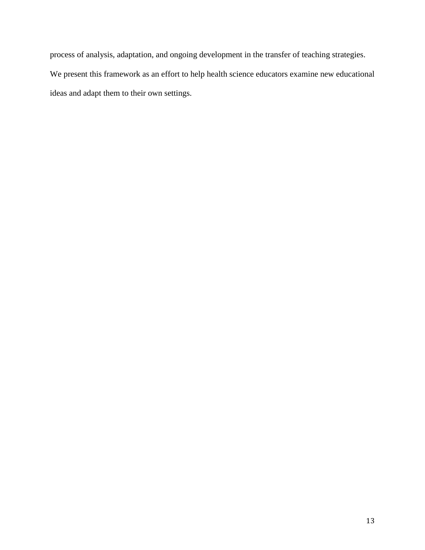process of analysis, adaptation, and ongoing development in the transfer of teaching strategies.

We present this framework as an effort to help health science educators examine new educational ideas and adapt them to their own settings.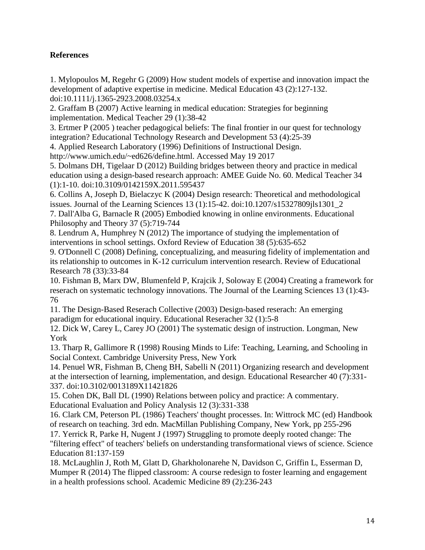## **References**

1. Mylopoulos M, Regehr G (2009) How student models of expertise and innovation impact the development of adaptive expertise in medicine. Medical Education 43 (2):127-132. doi:10.1111/j.1365-2923.2008.03254.x

2. Graffam B (2007) Active learning in medical education: Strategies for beginning implementation. Medical Teacher 29 (1):38-42

3. Ertmer P (2005 ) teacher pedagogical beliefs: The final frontier in our quest for technology integration? Educational Technology Research and Development 53 (4):25-39

4. Applied Research Laboratory (1996) Definitions of Instructional Design.

http://www.umich.edu/~ed626/define.html. Accessed May 19 2017

5. Dolmans DH, Tigelaar D (2012) Building bridges between theory and practice in medical education using a design-based research approach: AMEE Guide No. 60. Medical Teacher 34 (1):1-10. doi:10.3109/0142159X.2011.595437

6. Collins A, Joseph D, Bielaczyc K (2004) Design research: Theoretical and methodological issues. Journal of the Learning Sciences 13 (1):15-42. doi:10.1207/s15327809jls1301\_2

7. Dall'Alba G, Barnacle R (2005) Embodied knowing in online environments. Educational Philosophy and Theory 37 (5):719-744

8. Lendrum A, Humphrey N (2012) The importance of studying the implementation of interventions in school settings. Oxford Review of Education 38 (5):635-652

9. O'Donnell C (2008) Defining, conceptualizing, and measuring fidelity of implementation and its relationship to outcomes in K-12 curriculum intervention research. Review of Educational Research 78 (33):33-84

10. Fishman B, Marx DW, Blumenfeld P, Krajcik J, Soloway E (2004) Creating a framework for reserach on systematic technology innovations. The Journal of the Learning Sciences 13 (1):43- 76

11. The Design-Based Reserach Collective (2003) Design-based reserach: An emerging paradigm for educational inquiry. Educational Reseracher 32 (1):5-8

12. Dick W, Carey L, Carey JO (2001) The systematic design of instruction. Longman, New York

13. Tharp R, Gallimore R (1998) Rousing Minds to Life: Teaching, Learning, and Schooling in Social Context. Cambridge University Press, New York

14. Penuel WR, Fishman B, Cheng BH, Sabelli N (2011) Organizing research and development at the intersection of learning, implementation, and design. Educational Researcher 40 (7):331- 337. doi:10.3102/0013189X11421826

15. Cohen DK, Ball DL (1990) Relations between policy and practice: A commentary. Educational Evaluation and Policy Analysis 12 (3):331-338

16. Clark CM, Peterson PL (1986) Teachers' thought processes. In: Wittrock MC (ed) Handbook of research on teaching. 3rd edn. MacMillan Publishing Company, New York, pp 255-296

17. Yerrick R, Parke H, Nugent J (1997) Struggling to promote deeply rooted change: The "filtering effect" of teachers' beliefs on understanding transformational views of science. Science Education 81:137-159

18. McLaughlin J, Roth M, Glatt D, Gharkholonarehe N, Davidson C, Griffin L, Esserman D, Mumper R (2014) The flipped classroom: A course redesign to foster learning and engagement in a health professions school. Academic Medicine 89 (2):236-243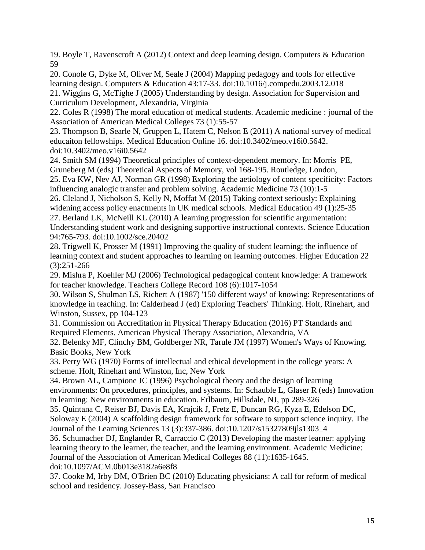19. Boyle T, Ravenscroft A (2012) Context and deep learning design. Computers & Education 59

20. Conole G, Dyke M, Oliver M, Seale J (2004) Mapping pedagogy and tools for effective learning design. Computers & Education 43:17-33. doi:10.1016/j.compedu.2003.12.018 21. Wiggins G, McTighe J (2005) Understanding by design. Association for Supervision and Curriculum Development, Alexandria, Virginia

22. Coles R (1998) The moral education of medical students. Academic medicine : journal of the Association of American Medical Colleges 73 (1):55-57

23. Thompson B, Searle N, Gruppen L, Hatem C, Nelson E (2011) A national survey of medical educaiton fellowships. Medical Education Online 16. doi:10.3402/meo.v16i0.5642. doi:10.3402/meo.v16i0.5642

24. Smith SM (1994) Theoretical principles of context-dependent memory. In: Morris PE, Gruneberg M (eds) Theoretical Aspects of Memory, vol 168-195. Routledge, London,

25. Eva KW, Nev AJ, Norman GR (1998) Exploring the aetiology of content specificity: Factors influencing analogic transfer and problem solving. Academic Medicine 73 (10):1-5

26. Cleland J, Nicholson S, Kelly N, Moffat M (2015) Taking context seriously: Explaining widening access policy enactments in UK medical schools. Medical Education 49 (1):25-35 27. Berland LK, McNeill KL (2010) A learning progression for scientific argumentation: Understanding student work and designing supportive instructional contexts. Science Education 94:765-793. doi:10.1002/sce.20402

28. Trigwell K, Prosser M (1991) Improving the quality of student learning: the influence of learning context and student approaches to learning on learning outcomes. Higher Education 22 (3):251-266

29. Mishra P, Koehler MJ (2006) Technological pedagogical content knowledge: A framework for teacher knowledge. Teachers College Record 108 (6):1017-1054

30. Wilson S, Shulman LS, Richert A (1987) '150 different ways' of knowing: Representations of knowledge in teaching. In: Calderhead J (ed) Exploring Teachers' Thinking. Holt, Rinehart, and Winston, Sussex, pp 104-123

31. Commission on Accreditation in Physical Therapy Education (2016) PT Standards and Required Elements. American Physical Therapy Association, Alexandria, VA

32. Belenky MF, Clinchy BM, Goldberger NR, Tarule JM (1997) Women's Ways of Knowing. Basic Books, New York

33. Perry WG (1970) Forms of intellectual and ethical development in the college years: A scheme. Holt, Rinehart and Winston, Inc, New York

34. Brown AL, Campione JC (1996) Psychological theory and the design of learning environments: On procedures, principles, and systems. In: Schauble L, Glaser R (eds) Innovation in learning: New environments in education. Erlbaum, Hillsdale, NJ, pp 289-326

35. Quintana C, Reiser BJ, Davis EA, Krajcik J, Fretz E, Duncan RG, Kyza E, Edelson DC, Soloway E (2004) A scaffolding design framework for software to support science inquiry. The Journal of the Learning Sciences 13 (3):337-386. doi:10.1207/s15327809jls1303\_4

36. Schumacher DJ, Englander R, Carraccio C (2013) Developing the master learner: applying learning theory to the learner, the teacher, and the learning environment. Academic Medicine: Journal of the Association of American Medical Colleges 88 (11):1635-1645. doi:10.1097/ACM.0b013e3182a6e8f8

37. Cooke M, Irby DM, O'Brien BC (2010) Educating physicians: A call for reform of medical school and residency. Jossey-Bass, San Francisco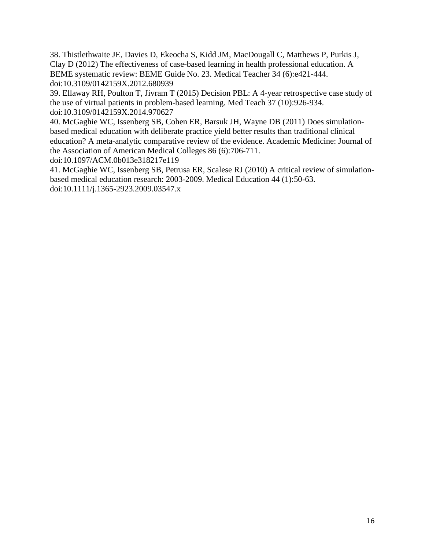38. Thistlethwaite JE, Davies D, Ekeocha S, Kidd JM, MacDougall C, Matthews P, Purkis J, Clay D (2012) The effectiveness of case-based learning in health professional education. A BEME systematic review: BEME Guide No. 23. Medical Teacher 34 (6):e421-444. doi:10.3109/0142159X.2012.680939

39. Ellaway RH, Poulton T, Jivram T (2015) Decision PBL: A 4-year retrospective case study of the use of virtual patients in problem-based learning. Med Teach 37 (10):926-934. doi:10.3109/0142159X.2014.970627

40. McGaghie WC, Issenberg SB, Cohen ER, Barsuk JH, Wayne DB (2011) Does simulationbased medical education with deliberate practice yield better results than traditional clinical education? A meta-analytic comparative review of the evidence. Academic Medicine: Journal of the Association of American Medical Colleges 86 (6):706-711.

doi:10.1097/ACM.0b013e318217e119

41. McGaghie WC, Issenberg SB, Petrusa ER, Scalese RJ (2010) A critical review of simulationbased medical education research: 2003-2009. Medical Education 44 (1):50-63. doi:10.1111/j.1365-2923.2009.03547.x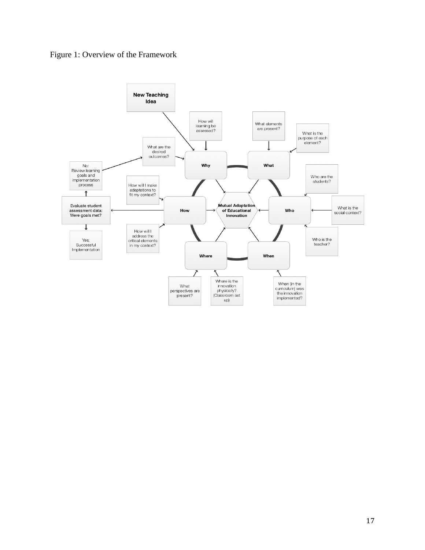

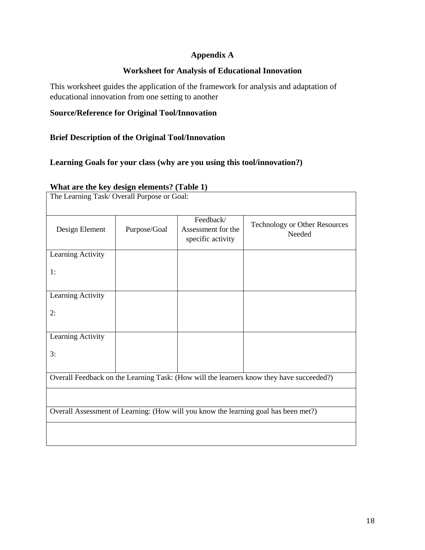## **Appendix A**

## **Worksheet for Analysis of Educational Innovation**

This worksheet guides the application of the framework for analysis and adaptation of educational innovation from one setting to another

## **Source/Reference for Original Tool/Innovation**

## **Brief Description of the Original Tool/Innovation**

## **Learning Goals for your class (why are you using this tool/innovation?)**

| $\mathbf{u}$ and $\mathbf{u}$ and $\mathbf{u}$ and $\mathbf{v}$ and $\mathbf{v}$ and $\mathbf{v}$ and $\mathbf{v}$<br>The Learning Task/Overall Purpose or Goal: |              |                                                      |                                                |  |  |  |  |
|------------------------------------------------------------------------------------------------------------------------------------------------------------------|--------------|------------------------------------------------------|------------------------------------------------|--|--|--|--|
| Design Element                                                                                                                                                   | Purpose/Goal | Feedback/<br>Assessment for the<br>specific activity | <b>Technology or Other Resources</b><br>Needed |  |  |  |  |
| Learning Activity                                                                                                                                                |              |                                                      |                                                |  |  |  |  |
| 1:                                                                                                                                                               |              |                                                      |                                                |  |  |  |  |
| Learning Activity                                                                                                                                                |              |                                                      |                                                |  |  |  |  |
| 2:                                                                                                                                                               |              |                                                      |                                                |  |  |  |  |
| Learning Activity                                                                                                                                                |              |                                                      |                                                |  |  |  |  |
| 3:                                                                                                                                                               |              |                                                      |                                                |  |  |  |  |
| Overall Feedback on the Learning Task: (How will the learners know they have succeeded?)                                                                         |              |                                                      |                                                |  |  |  |  |
|                                                                                                                                                                  |              |                                                      |                                                |  |  |  |  |
| Overall Assessment of Learning: (How will you know the learning goal has been met?)                                                                              |              |                                                      |                                                |  |  |  |  |
|                                                                                                                                                                  |              |                                                      |                                                |  |  |  |  |

#### **What are the key design elements? (Table 1)**